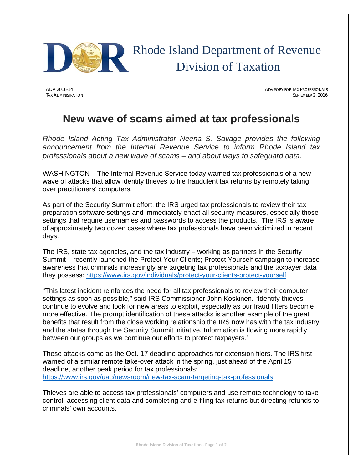

ADV 2016-14 ADVISORY FOR TAX PROFESSIONALS TAX ADMINISTRATION SEPTEMBER 2, 2016

## **New wave of scams aimed at tax professionals**

*Rhode Island Acting Tax Administrator Neena S. Savage provides the following announcement from the Internal Revenue Service to inform Rhode Island tax professionals about a new wave of scams – and about ways to safeguard data.* 

WASHINGTON – The Internal Revenue Service today warned tax professionals of a new wave of attacks that allow identity thieves to file fraudulent tax returns by remotely taking over practitioners' computers.

As part of the Security Summit effort, the IRS urged tax professionals to review their tax preparation software settings and immediately enact all security measures, especially those settings that require usernames and passwords to access the products. The IRS is aware of approximately two dozen cases where tax professionals have been victimized in recent days.

The IRS, state tax agencies, and the tax industry – working as partners in the Security Summit – recently launched the Protect Your Clients; Protect Yourself campaign to increase awareness that criminals increasingly are targeting tax professionals and the taxpayer data they possess: https://www.irs.gov/individuals/protect-your-clients-protect-yourself

"This latest incident reinforces the need for all tax professionals to review their computer settings as soon as possible," said IRS Commissioner John Koskinen. "Identity thieves continue to evolve and look for new areas to exploit, especially as our fraud filters become more effective. The prompt identification of these attacks is another example of the great benefits that result from the close working relationship the IRS now has with the tax industry and the states through the Security Summit initiative. Information is flowing more rapidly between our groups as we continue our efforts to protect taxpayers."

These attacks come as the Oct. 17 deadline approaches for extension filers. The IRS first warned of a similar remote take-over attack in the spring, just ahead of the April 15 deadline, another peak period for tax professionals: https://www.irs.gov/uac/newsroom/new-tax-scam-targeting-tax-professionals

Thieves are able to access tax professionals' computers and use remote technology to take control, accessing client data and completing and e-filing tax returns but directing refunds to criminals' own accounts.